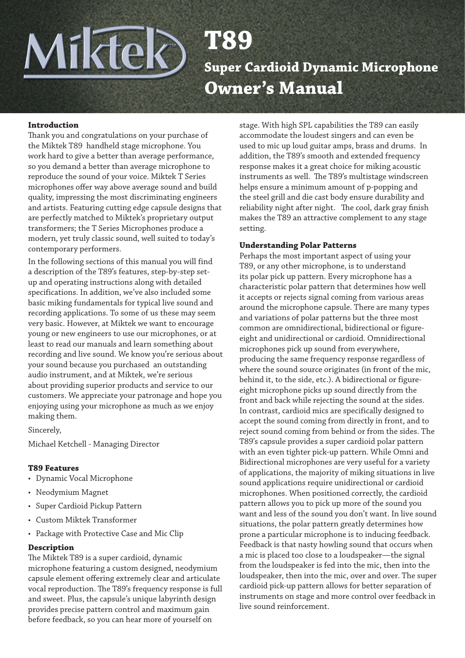**T89**

**Super Cardioid Dynamic Microphone Owner's Manual**

#### **Introduction**

Miktel

Thank you and congratulations on your purchase of the Miktek T89 handheld stage microphone. You work hard to give a better than average performance, so you demand a better than average microphone to reproduce the sound of your voice. Miktek T Series microphones offer way above average sound and build quality, impressing the most discriminating engineers and artists. Featuring cutting edge capsule designs that are perfectly matched to Miktek's proprietary output transformers; the T Series Microphones produce a modern, yet truly classic sound, well suited to today's contemporary performers.

In the following sections of this manual you will find a description of the T89's features, step-by-step setup and operating instructions along with detailed specifications. In addition, we've also included some basic miking fundamentals for typical live sound and recording applications. To some of us these may seem very basic. However, at Miktek we want to encourage young or new engineers to use our microphones, or at least to read our manuals and learn something about recording and live sound. We know you're serious about your sound because you purchased an outstanding audio instrument, and at Miktek, we're serious about providing superior products and service to our customers. We appreciate your patronage and hope you enjoying using your microphone as much as we enjoy making them.

Sincerely,

Michael Ketchell - Managing Director

#### **T89 Features**

- Dynamic Vocal Microphone
- Neodymium Magnet
- Super Cardioid Pickup Pattern
- Custom Miktek Transformer
- Package with Protective Case and Mic Clip

### **Description**

The Miktek T89 is a super cardioid, dynamic microphone featuring a custom designed, neodymium capsule element offering extremely clear and articulate vocal reproduction. The T89's frequency response is full and sweet. Plus, the capsule's unique labyrinth design provides precise pattern control and maximum gain before feedback, so you can hear more of yourself on

stage. With high SPL capabilities the T89 can easily accommodate the loudest singers and can even be used to mic up loud guitar amps, brass and drums. In addition, the T89's smooth and extended frequency response makes it a great choice for miking acoustic instruments as well. The T89's multistage windscreen helps ensure a minimum amount of p-popping and the steel grill and die cast body ensure durability and reliability night after night. The cool, dark gray finish makes the T89 an attractive complement to any stage setting.

#### **Understanding Polar Patterns**

Perhaps the most important aspect of using your T89, or any other microphone, is to understand its polar pick up pattern. Every microphone has a characteristic polar pattern that determines how well it accepts or rejects signal coming from various areas around the microphone capsule. There are many types and variations of polar patterns but the three most common are omnidirectional, bidirectional or figureeight and unidirectional or cardioid. Omnidirectional microphones pick up sound from everywhere, producing the same frequency response regardless of where the sound source originates (in front of the mic, behind it, to the side, etc.). A bidirectional or figureeight microphone picks up sound directly from the front and back while rejecting the sound at the sides. In contrast, cardioid mics are specifically designed to accept the sound coming from directly in front, and to reject sound coming from behind or from the sides. The T89's capsule provides a super cardioid polar pattern with an even tighter pick-up pattern. While Omni and Bidirectional microphones are very useful for a variety of applications, the majority of miking situations in live sound applications require unidirectional or cardioid microphones. When positioned correctly, the cardioid pattern allows you to pick up more of the sound you want and less of the sound you don't want. In live sound situations, the polar pattern greatly determines how prone a particular microphone is to inducing feedback. Feedback is that nasty howling sound that occurs when a mic is placed too close to a loudspeaker—the signal from the loudspeaker is fed into the mic, then into the loudspeaker, then into the mic, over and over. The super cardioid pick-up pattern allows for better separation of instruments on stage and more control over feedback in live sound reinforcement.